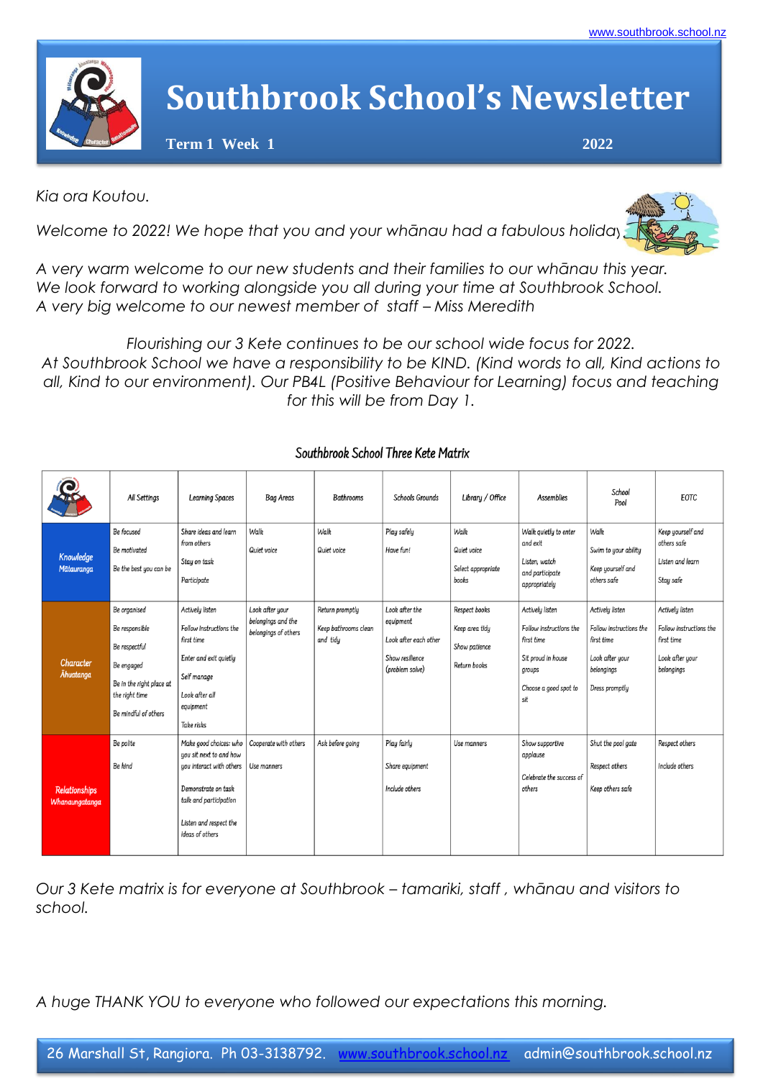

## **Southbrook School's Newsletter**

 **Term 1 Week 1 2022**

*Kia ora Koutou.*

*Welcome to 2022! We hope that you and your whānau had a fabulous holiday* 



*A very warm welcome to our new students and their families to our whānau this year. We look forward to working alongside you all during your time at Southbrook School. A very big welcome to our newest member of staff – Miss Meredith*

*Flourishing our 3 Kete continues to be our school wide focus for 2022. At Southbrook School we have a responsibility to be KIND. (Kind words to all, Kind actions to all, Kind to our environment). Our PB4L (Positive Behaviour for Learning) focus and teaching for this will be from Day 1.*

|                                        | All Settings                                                                                                                        | <b>Learning Spaces</b>                                                                                                                                                      | <b>Bag Areas</b>                                              | <b>Bathrooms</b>                                    | Schools Grounds                                                                            | Library / Office                                                 | <b>Assemblies</b>                                                                                                        | School<br>Pool                                                                                              | <b>EOTC</b>                                                                               |
|----------------------------------------|-------------------------------------------------------------------------------------------------------------------------------------|-----------------------------------------------------------------------------------------------------------------------------------------------------------------------------|---------------------------------------------------------------|-----------------------------------------------------|--------------------------------------------------------------------------------------------|------------------------------------------------------------------|--------------------------------------------------------------------------------------------------------------------------|-------------------------------------------------------------------------------------------------------------|-------------------------------------------------------------------------------------------|
| Knowledge<br>Mātauranga                | Be focused<br>Be motivated<br>Be the best you can be                                                                                | Share ideas and learn<br>from others<br>Stay on task<br>Participate                                                                                                         | Walk<br>Quiet voice                                           | Walk<br>Quiet voice                                 | Play safely<br>Have fun!                                                                   | Walk<br>Quiet voice<br>Select appropriate<br>books               | Walk quietly to enter<br>and exit<br>Listen, watch<br>and participate<br>appropriately                                   | Walk<br>Swim to your ability<br>Keep yourself and<br>others safe                                            | Keep yourself and<br>others safe<br>Listen and learn<br>Stay safe                         |
| Character<br><b>Ahuatanga</b>          | Be organised<br>Be responsible<br>Be respectful<br>Be engaged<br>Be in the right place at<br>the right time<br>Be mindful of others | Actively listen<br>Follow instructions the<br>first time<br>Enter and exit quietly<br>Self manage<br>Look after all<br>equipment<br>Take risks                              | Look after your<br>belongings and the<br>belongings of others | Return promptly<br>Keep bathrooms clean<br>and tidu | Look after the<br>equipment<br>Look after each other<br>Show resilience<br>(problem solve) | Respect books<br>Keep area tidy<br>Show patience<br>Return books | Actively listen<br>Follow instructions the<br>first time<br>Sit proud in house<br>groups<br>Choose a good spot to<br>sit | Actively listen<br>Follow instructions the<br>first time<br>Look after your<br>belongings<br>Dress promptly | Actively listen<br>Follow instructions the<br>first time<br>Look after your<br>belongings |
| <b>Relationships</b><br>Whanaungatanga | Be polite<br>Be kind                                                                                                                | Make aood choices: who<br>you sit next to and how<br>you interact with others<br>Demonstrate on task<br>talk and participation<br>Listen and respect the<br>ideas of others | Cooperate with others<br>Use manners                          | Ask before going                                    | Plau fairlu<br>Share equipment<br>Include others                                           | Use manners                                                      | Show supportive<br>applause<br>Celebrate the success of<br>others                                                        | Shut the pool gate<br>Respect others<br>Keep others safe                                                    | Respect others<br>Include others                                                          |

## Southbrook School Three Kete Matrix

*Our 3 Kete matrix is for everyone at Southbrook – tamariki, staff , whānau and visitors to school.*

*A huge THANK YOU to everyone who followed our expectations this morning.*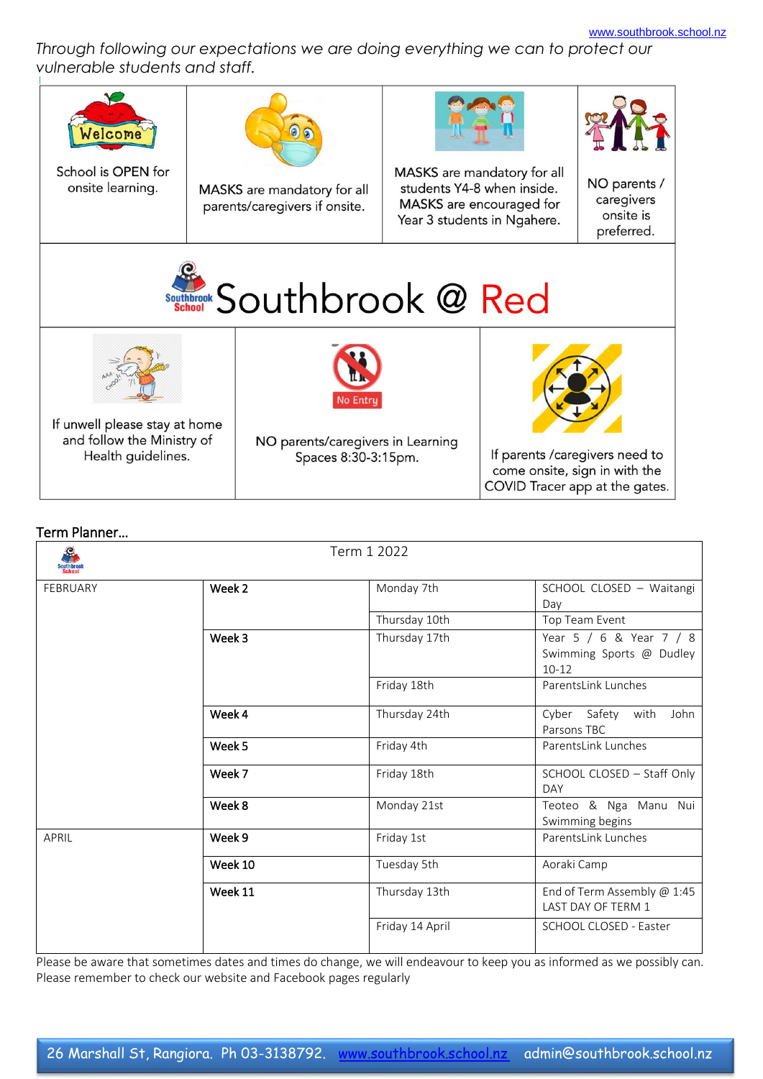*Through following our expectations we are doing everything we can to protect our vulnerable students and staff.*

| 'elcome<br>School is OPEN for<br>onsite learning.                                 |  | MASKS are mandatory for all<br>parents/caregivers if onsite.                |  | MASKS are mandatory for all<br>students Y4-8 when inside.<br>MASKS are encouraged for<br>Year 3 students in Ngahere. | NO parents /<br>caregivers<br>onsite is<br>preferred. |  |
|-----------------------------------------------------------------------------------|--|-----------------------------------------------------------------------------|--|----------------------------------------------------------------------------------------------------------------------|-------------------------------------------------------|--|
| Southbrook @ Red                                                                  |  |                                                                             |  |                                                                                                                      |                                                       |  |
| If unwell please stay at home<br>and follow the Ministry of<br>Health guidelines. |  | <b>No Entru</b><br>NO parents/caregivers in Learning<br>Spaces 8:30-3:15pm. |  | If parents / caregivers need to<br>come onsite, sign in with the<br>COVID Tracer app at the gates.                   |                                                       |  |

## Term Planner…

| Southbrook<br>School |         | Term 1 2022     |                                                                  |  |  |
|----------------------|---------|-----------------|------------------------------------------------------------------|--|--|
| <b>FEBRUARY</b>      | Week 2  | Monday 7th      | SCHOOL CLOSED - Waitangi<br>Day                                  |  |  |
|                      |         | Thursday 10th   | Top Team Event                                                   |  |  |
|                      | Week 3  | Thursday 17th   | Year 5 / 6 & Year 7 / 8<br>Swimming Sports @ Dudley<br>$10 - 12$ |  |  |
|                      |         | Friday 18th     | ParentsLink Lunches                                              |  |  |
|                      | Week 4  | Thursday 24th   | Cyber Safety with<br>John<br>Parsons TBC                         |  |  |
|                      | Week 5  | Friday 4th      | ParentsLink Lunches                                              |  |  |
|                      | Week 7  | Friday 18th     | SCHOOL CLOSED - Staff Only<br>DAY                                |  |  |
|                      | Week 8  | Monday 21st     | Teoteo & Nga Manu Nui<br>Swimming begins                         |  |  |
| APRIL                | Week 9  | Friday 1st      | ParentsLink Lunches                                              |  |  |
|                      | Week 10 | Tuesday 5th     | Aoraki Camp                                                      |  |  |
|                      | Week 11 | Thursday 13th   | End of Term Assembly @ 1:45<br>LAST DAY OF TERM 1                |  |  |
|                      |         | Friday 14 April | SCHOOL CLOSED - Easter                                           |  |  |

Please be aware that sometimes dates and times do change, we will endeavour to keep you as informed as we possibly can. Please remember to check our website and Facebook pages regularly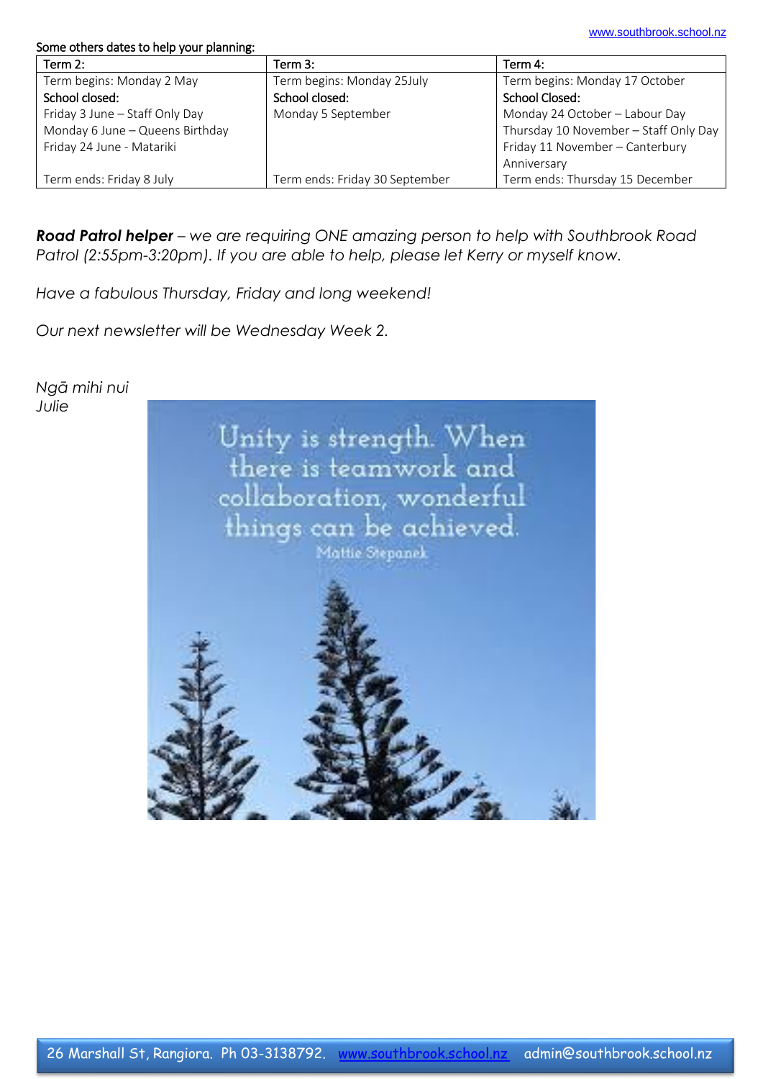## Some others dates to help your planning:

| Term 2:                         | Term $3:$                      | Term 4:                               |
|---------------------------------|--------------------------------|---------------------------------------|
| Term begins: Monday 2 May       | Term begins: Monday 25July     | Term begins: Monday 17 October        |
| School closed:                  | School closed:                 | School Closed:                        |
| Friday 3 June - Staff Only Day  | Monday 5 September             | Monday 24 October - Labour Day        |
| Monday 6 June - Queens Birthday |                                | Thursday 10 November - Staff Only Day |
| Friday 24 June - Matariki       |                                | Friday 11 November - Canterbury       |
|                                 |                                | Anniversary                           |
| Term ends: Friday 8 July        | Term ends: Friday 30 September | Term ends: Thursday 15 December       |

*Road Patrol helper – we are requiring ONE amazing person to help with Southbrook Road Patrol (2:55pm-3:20pm). If you are able to help, please let Kerry or myself know.*

*Have a fabulous Thursday, Friday and long weekend!*

*Our next newsletter will be Wednesday Week 2.*

*Ngā mihi nui Julie*